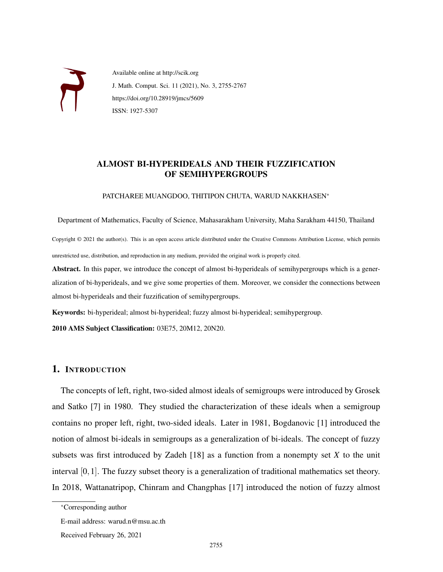

Available online at http://scik.org J. Math. Comput. Sci. 11 (2021), No. 3, 2755-2767 https://doi.org/10.28919/jmcs/5609 ISSN: 1927-5307

# ALMOST BI-HYPERIDEALS AND THEIR FUZZIFICATION OF SEMIHYPERGROUPS

PATCHAREE MUANGDOO, THITIPON CHUTA, WARUD NAKKHASEN<sup>∗</sup>

Department of Mathematics, Faculty of Science, Mahasarakham University, Maha Sarakham 44150, Thailand

Copyright © 2021 the author(s). This is an open access article distributed under the Creative Commons Attribution License, which permits unrestricted use, distribution, and reproduction in any medium, provided the original work is properly cited.

Abstract. In this paper, we introduce the concept of almost bi-hyperideals of semihypergroups which is a generalization of bi-hyperideals, and we give some properties of them. Moreover, we consider the connections between almost bi-hyperideals and their fuzzification of semihypergroups.

Keywords: bi-hyperideal; almost bi-hyperideal; fuzzy almost bi-hyperideal; semihypergroup.

2010 AMS Subject Classification: 03E75, 20M12, 20N20.

## 1. INTRODUCTION

The concepts of left, right, two-sided almost ideals of semigroups were introduced by Grosek and Satko [7] in 1980. They studied the characterization of these ideals when a semigroup contains no proper left, right, two-sided ideals. Later in 1981, Bogdanovic [1] introduced the notion of almost bi-ideals in semigroups as a generalization of bi-ideals. The concept of fuzzy subsets was first introduced by Zadeh [18] as a function from a nonempty set *X* to the unit interval [0,1]. The fuzzy subset theory is a generalization of traditional mathematics set theory. In 2018, Wattanatripop, Chinram and Changphas [17] introduced the notion of fuzzy almost

<sup>∗</sup>Corresponding author

E-mail address: warud.n@msu.ac.th

Received February 26, 2021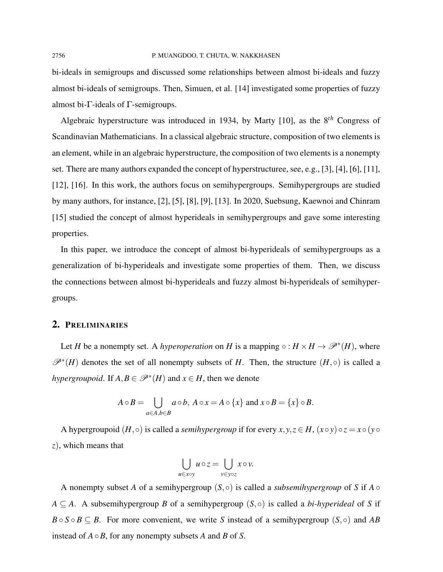bi-ideals in semigroups and discussed some relationships between almost bi-ideals and fuzzy almost bi-ideals of semigroups. Then, Simuen, et al. [14] investigated some properties of fuzzy almost bi-Γ-ideals of Γ-semigroups.

Algebraic hyperstructure was introduced in 1934, by Marty [10], as the 8*th* Congress of Scandinavian Mathematicians. In a classical algebraic structure, composition of two elements is an element, while in an algebraic hyperstructure, the composition of two elements is a nonempty set. There are many authors expanded the concept of hyperstructuree, see, e.g., [3], [4], [6], [11], [12], [16]. In this work, the authors focus on semihypergroups. Semihypergroups are studied by many authors, for instance, [2], [5], [8], [9], [13]. In 2020, Suebsung, Kaewnoi and Chinram [15] studied the concept of almost hyperideals in semihypergroups and gave some interesting properties.

In this paper, we introduce the concept of almost bi-hyperideals of semihypergroups as a generalization of bi-hyperideals and investigate some properties of them. Then, we discuss the connections between almost bi-hyperideals and fuzzy almost bi-hyperideals of semihypergroups.

## 2. PRELIMINARIES

Let *H* be a nonempty set. A *hyperoperation* on *H* is a mapping  $\circ : H \times H \to \mathcal{P}^*(H)$ , where  $\mathscr{P}^*(H)$  denotes the set of all nonempty subsets of *H*. Then, the structure  $(H, \circ)$  is called a *hypergroupoid*. If  $A, B \in \mathcal{P}^*(H)$  and  $x \in H$ , then we denote

$$
A \circ B = \bigcup_{a \in A, b \in B} a \circ b, A \circ x = A \circ \{x\} \text{ and } x \circ B = \{x\} \circ B.
$$

A hypergroupoid  $(H, \circ)$  is called a *semihypergroup* if for every  $x, y, z \in H$ ,  $(x \circ y) \circ z = x \circ (y \circ$ *z*), which means that

$$
\bigcup_{u \in x \circ y} u \circ z = \bigcup_{v \in y \circ z} x \circ v.
$$

A nonempty subset *A* of a semihypergroup  $(S, \circ)$  is called a *subsemihypergroup* of *S* if *A*  $\circ$  $A \subseteq A$ . A subsemihypergroup *B* of a semihypergroup  $(S, \circ)$  is called a *bi-hyperideal* of *S* if  $B \circ S \circ B \subseteq B$ . For more convenient, we write *S* instead of a semihypergroup (*S*, ◦) and *AB* instead of *A*◦*B*, for any nonempty subsets *A* and *B* of *S*.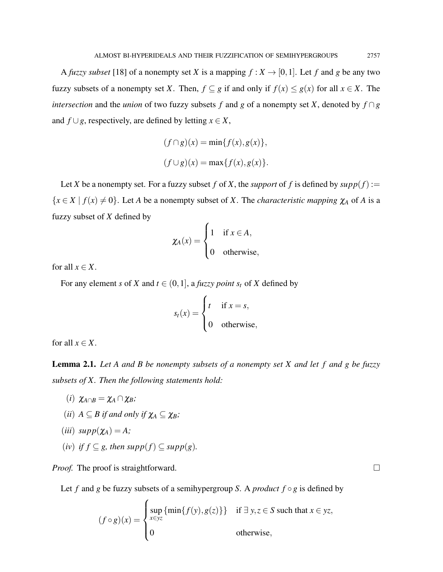A *fuzzy subset* [18] of a nonempty set *X* is a mapping  $f : X \to [0,1]$ . Let *f* and *g* be any two fuzzy subsets of a nonempty set *X*. Then,  $f \subseteq g$  if and only if  $f(x) \le g(x)$  for all  $x \in X$ . The *intersection* and the *union* of two fuzzy subsets *f* and *g* of a nonempty set *X*, denoted by  $f \cap g$ and  $f ∪ g$ , respectively, are defined by letting  $x ∈ X$ ,

$$
(f \cap g)(x) = \min\{f(x), g(x)\},\
$$

$$
(f \cup g)(x) = \max\{f(x), g(x)\}.
$$

Let *X* be a nonempty set. For a fuzzy subset *f* of *X*, the *support* of *f* is defined by  $supp(f)$ :=  ${x \in X \mid f(x) \neq 0}$ . Let *A* be a nonempty subset of *X*. The *characteristic mapping*  $\chi_A$  of *A* is a fuzzy subset of *X* defined by

$$
\chi_A(x) = \begin{cases} 1 & \text{if } x \in A, \\ 0 & \text{otherwise,} \end{cases}
$$

for all  $x \in X$ .

For any element *s* of *X* and  $t \in (0,1]$ , a *fuzzy point s<sub>t</sub>* of *X* defined by

$$
s_t(x) = \begin{cases} t & \text{if } x = s, \\ 0 & \text{otherwise,} \end{cases}
$$

for all  $x \in X$ .

Lemma 2.1. *Let A and B be nonempty subsets of a nonempty set X and let f and g be fuzzy subsets of X. Then the following statements hold:*

- (*i*)  $\chi_{A \cap B} = \chi_A \cap \chi_B$ ;
- (*ii*)  $A \subseteq B$  *if and only if*  $\chi_A \subseteq \chi_B$ *;*
- $(iii) \ supp(\chi_A) = A;$
- (*iv*) *if*  $f \subseteq g$ *, then supp*( $f$ ) ⊆ *supp*( $g$ )*.*

*Proof.* The proof is straightforward. □

Let *f* and *g* be fuzzy subsets of a semihypergroup *S*. A *product*  $f \circ g$  is defined by

$$
(f \circ g)(x) = \begin{cases} \sup_{x \in yz} {\min{f(y), g(z)}} & \text{if } \exists y, z \in S \text{ such that } x \in yz, \\ 0 & \text{otherwise,} \end{cases}
$$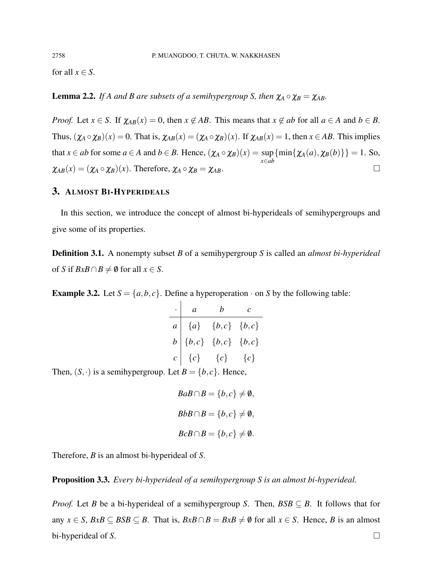for all  $x \in S$ .

**Lemma 2.2.** *If A and B are subsets of a semihypergroup S, then*  $\chi_A \circ \chi_B = \chi_{AB}$ *.* 

*Proof.* Let  $x \in S$ . If  $\chi_{AB}(x) = 0$ , then  $x \notin AB$ . This means that  $x \notin ab$  for all  $a \in A$  and  $b \in B$ . Thus,  $(\chi_A \circ \chi_B)(x) = 0$ . That is,  $\chi_{AB}(x) = (\chi_A \circ \chi_B)(x)$ . If  $\chi_{AB}(x) = 1$ , then  $x \in AB$ . This implies that  $x \in ab$  for some  $a \in A$  and  $b \in B$ . Hence,  $(\chi_A \circ \chi_B)(x) = \sup$ *x*∈*ab*  ${\min\{\chi_A(a),\chi_B(b)\}\}=1.$  So,  $\chi_{AB}(x) = (\chi_A \circ \chi_B)(x)$ . Therefore,  $\chi_A \circ \chi_B = \chi_{AB}$ .

#### 3. ALMOST BI-HYPERIDEALS

In this section, we introduce the concept of almost bi-hyperideals of semihypergroups and give some of its properties.

Definition 3.1. A nonempty subset *B* of a semihypergroup *S* is called an *almost bi-hyperideal* of *S* if  $BxB \cap B \neq \emptyset$  for all  $x \in S$ .

**Example 3.2.** Let  $S = \{a, b, c\}$ . Define a hyperoperation  $\cdot$  on *S* by the following table:

| $\cdot \quad a$ | $b$ c                                                                                                                               |  |
|-----------------|-------------------------------------------------------------------------------------------------------------------------------------|--|
|                 | $a \begin{vmatrix} \{a\} & \{b,c\} & \{b,c\} \end{vmatrix}$                                                                         |  |
|                 | $b   \{b,c\} \{b,c\} \{b,c\}$                                                                                                       |  |
|                 | $c \begin{bmatrix} c \end{bmatrix} \begin{bmatrix} c \end{bmatrix} \begin{bmatrix} c \end{bmatrix} \begin{bmatrix} c \end{bmatrix}$ |  |

Then,  $(S, \cdot)$  is a semihypergroup. Let  $B = \{b, c\}$ . Hence,

$$
BaB \cap B = \{b, c\} \neq \emptyset,
$$
  

$$
BbB \cap B = \{b, c\} \neq \emptyset,
$$
  

$$
BcB \cap B = \{b, c\} \neq \emptyset.
$$

Therefore, *B* is an almost bi-hyperideal of *S*.

Proposition 3.3. *Every bi-hyperideal of a semihypergroup S is an almost bi-hyperideal.*

*Proof.* Let *B* be a bi-hyperideal of a semihypergroup *S*. Then,  $BSB \subseteq B$ . It follows that for any  $x \in S$ ,  $BxB \subseteq BSB \subseteq B$ . That is,  $BxB \cap B = BxB \neq \emptyset$  for all  $x \in S$ . Hence, *B* is an almost bi-hyperideal of *S*.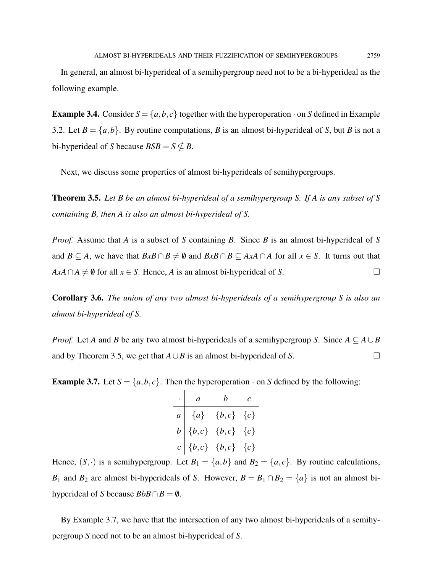In general, an almost bi-hyperideal of a semihypergroup need not to be a bi-hyperideal as the following example.

**Example 3.4.** Consider  $S = \{a, b, c\}$  together with the hyperoperation  $\cdot$  on *S* defined in Example 3.2. Let  $B = \{a, b\}$ . By routine computations, *B* is an almost bi-hyperideal of *S*, but *B* is not a bi-hyperideal of *S* because  $BSB = S \nsubseteq B$ .

Next, we discuss some properties of almost bi-hyperideals of semihypergroups.

Theorem 3.5. *Let B be an almost bi-hyperideal of a semihypergroup S. If A is any subset of S containing B, then A is also an almost bi-hyperideal of S.*

*Proof.* Assume that *A* is a subset of *S* containing *B*. Since *B* is an almost bi-hyperideal of *S* and *B*  $\subseteq$  *A*, we have that *BxB* ∩ *B*  $\neq$  *0* and *BxB* ∩ *B*  $\subseteq$  *AxA* ∩ *A* for all *x*  $\in$  *S*. It turns out that  $AxA \cap A \neq \emptyset$  for all  $x \in S$ . Hence, *A* is an almost bi-hyperideal of *S*.

Corollary 3.6. *The union of any two almost bi-hyperideals of a semihypergroup S is also an almost bi-hyperideal of S.*

*Proof.* Let *A* and *B* be any two almost bi-hyperideals of a semihypergroup *S*. Since  $A \subseteq A \cup B$ and by Theorem 3.5, we get that  $A \cup B$  is an almost bi-hyperideal of *S*.

**Example 3.7.** Let  $S = \{a, b, c\}$ . Then the hyperoperation  $\cdot$  on *S* defined by the following:

· *a b c a* {*a*} {*b*, *c*} {*c*} *b* {*b*, *c*} {*b*, *c*} {*c*} *c* {*b*, *c*} {*b*, *c*} {*c*}

Hence,  $(S, \cdot)$  is a semihypergroup. Let  $B_1 = \{a, b\}$  and  $B_2 = \{a, c\}$ . By routine calculations, *B*<sub>1</sub> and *B*<sub>2</sub> are almost bi-hyperideals of *S*. However,  $B = B_1 \cap B_2 = \{a\}$  is not an almost bihyperideal of *S* because  $BbB \cap B = \emptyset$ .

By Example 3.7, we have that the intersection of any two almost bi-hyperideals of a semihypergroup *S* need not to be an almost bi-hyperideal of *S*.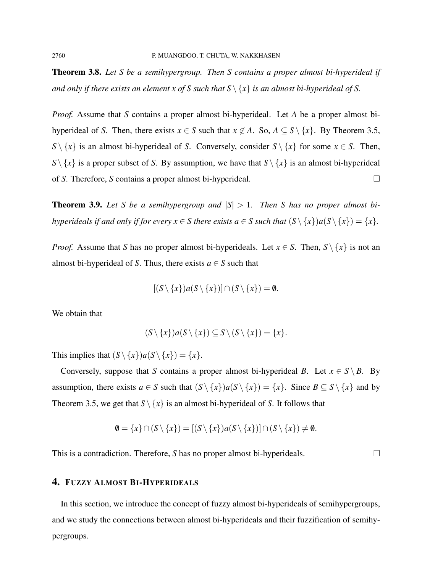Theorem 3.8. *Let S be a semihypergroup. Then S contains a proper almost bi-hyperideal if and only if there exists an element x of S such that*  $S \setminus \{x\}$  *is an almost bi-hyperideal of S.* 

*Proof.* Assume that *S* contains a proper almost bi-hyperideal. Let *A* be a proper almost bihyperideal of *S*. Then, there exists  $x \in S$  such that  $x \notin A$ . So,  $A \subseteq S \setminus \{x\}$ . By Theorem 3.5, *S* \ {*x*} is an almost bi-hyperideal of *S*. Conversely, consider *S* \ {*x*} for some *x*  $\in$  *S*. Then,  $S \setminus \{x\}$  is a proper subset of *S*. By assumption, we have that  $S \setminus \{x\}$  is an almost bi-hyperideal of *S*. Therefore, *S* contains a proper almost bi-hyperideal.

**Theorem 3.9.** Let S be a semihypergroup and  $|S| > 1$ . Then S has no proper almost bi*hyperideals if and only if for every*  $x \in S$  *there exists a*  $\in S$  *such that*  $(S \setminus \{x\})a(S \setminus \{x\}) = \{x\}$ *.* 

*Proof.* Assume that *S* has no proper almost bi-hyperideals. Let  $x \in S$ . Then,  $S \setminus \{x\}$  is not an almost bi-hyperideal of *S*. Thus, there exists  $a \in S$  such that

$$
[(S \setminus \{x\})a(S \setminus \{x\})] \cap (S \setminus \{x\}) = \emptyset.
$$

We obtain that

$$
(S \setminus \{x\})a(S \setminus \{x\}) \subseteq S \setminus (S \setminus \{x\}) = \{x\}.
$$

This implies that  $(S \setminus \{x\})a(S \setminus \{x\}) = \{x\}.$ 

Conversely, suppose that *S* contains a proper almost bi-hyperideal *B*. Let  $x \in S \setminus B$ . By assumption, there exists  $a \in S$  such that  $(S \setminus \{x\})a(S \setminus \{x\}) = \{x\}$ . Since  $B \subseteq S \setminus \{x\}$  and by Theorem 3.5, we get that  $S \setminus \{x\}$  is an almost bi-hyperideal of *S*. It follows that

$$
\emptyset = \{x\} \cap (S \setminus \{x\}) = [(S \setminus \{x\})a(S \setminus \{x\})] \cap (S \setminus \{x\}) \neq \emptyset.
$$

This is a contradiction. Therefore, *S* has no proper almost bi-hyperideals.  $\square$ 

## 4. FUZZY ALMOST BI-HYPERIDEALS

In this section, we introduce the concept of fuzzy almost bi-hyperideals of semihypergroups, and we study the connections between almost bi-hyperideals and their fuzzification of semihypergroups.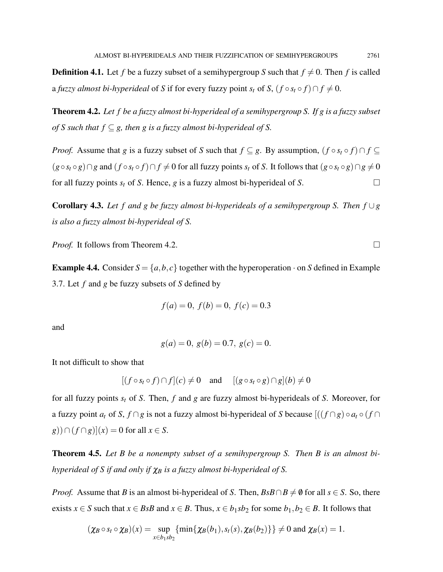**Definition 4.1.** Let f be a fuzzy subset of a semihypergroup *S* such that  $f \neq 0$ . Then f is called a *fuzzy almost bi-hyperideal* of *S* if for every fuzzy point  $s_t$  of *S*,  $(f \circ s_t \circ f) \cap f \neq 0$ .

Theorem 4.2. *Let f be a fuzzy almost bi-hyperideal of a semihypergroup S. If g is a fuzzy subset of S such that*  $f \subseteq g$ , then g is a fuzzy almost bi-hyperideal of S.

*Proof.* Assume that *g* is a fuzzy subset of *S* such that  $f \subseteq g$ . By assumption,  $(f \circ s_t \circ f) \cap f \subseteq f$  $(g \circ s_t \circ g) \cap g$  and  $(f \circ s_t \circ f) \cap f \neq 0$  for all fuzzy points  $s_t$  of *S*. It follows that  $(g \circ s_t \circ g) \cap g \neq 0$ for all fuzzy points  $s_t$  of *S*. Hence, *g* is a fuzzy almost bi-hyperideal of *S*.

Corollary 4.3. *Let f and g be fuzzy almost bi-hyperideals of a semihypergroup S. Then f* ∪*g is also a fuzzy almost bi-hyperideal of S.*

*Proof.* It follows from Theorem 4.2. □

**Example 4.4.** Consider  $S = \{a, b, c\}$  together with the hyperoperation  $\cdot$  on *S* defined in Example 3.7. Let *f* and *g* be fuzzy subsets of *S* defined by

$$
f(a) = 0, f(b) = 0, f(c) = 0.3
$$

and

$$
g(a) = 0, g(b) = 0.7, g(c) = 0.
$$

It not difficult to show that

$$
[(f \circ s_t \circ f) \cap f](c) \neq 0 \quad \text{and} \quad [(g \circ s_t \circ g) \cap g](b) \neq 0
$$

for all fuzzy points *s<sup>t</sup>* of *S*. Then, *f* and *g* are fuzzy almost bi-hyperideals of *S*. Moreover, for a fuzzy point  $a_t$  of *S*,  $f \cap g$  is not a fuzzy almost bi-hyperideal of *S* because  $\left[\left(\left(f \cap g\right) \circ a_t \circ (f \cap g)\right)$ *g*))∩( $f \cap g$ )]( $x$ ) = 0 for all  $x \in S$ .

Theorem 4.5. *Let B be a nonempty subset of a semihypergroup S. Then B is an almost bihyperideal of S if and only if*  $\chi_B$  *is a fuzzy almost bi-hyperideal of S.* 

*Proof.* Assume that *B* is an almost bi-hyperideal of *S*. Then,  $BsB \cap B \neq \emptyset$  for all  $s \in S$ . So, there exists *x* ∈ *S* such that *x* ∈ *BsB* and *x* ∈ *B*. Thus, *x* ∈ *b*<sub>1</sub>*sb*<sub>2</sub> for some *b*<sub>1</sub>*, b*<sub>2</sub> ∈ *B*. It follows that

$$
(\chi_B \circ s_t \circ \chi_B)(x) = \sup_{x \in b_1 \circ b_2} \{ \min \{ \chi_B(b_1), s_t(s), \chi_B(b_2) \} \} \neq 0 \text{ and } \chi_B(x) = 1.
$$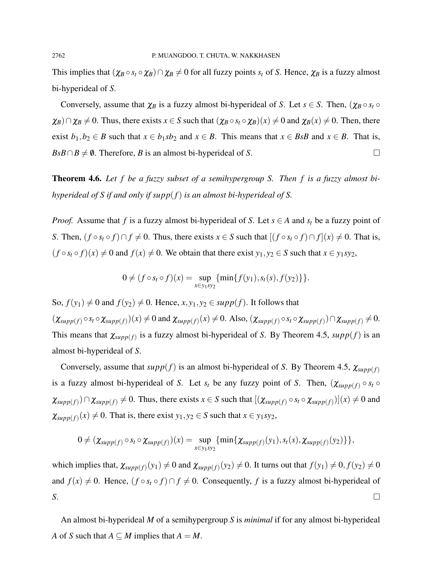This implies that  $(\chi_B \circ s_t \circ \chi_B) \cap \chi_B \neq 0$  for all fuzzy points  $s_t$  of *S*. Hence,  $\chi_B$  is a fuzzy almost bi-hyperideal of *S*.

Conversely, assume that  $\chi_B$  is a fuzzy almost bi-hyperideal of *S*. Let  $s \in S$ . Then,  $(\chi_B \circ s_t \circ$  $\chi_B$ )∩ $\chi_B \neq 0$ . Thus, there exists  $x \in S$  such that  $(\chi_B \circ s_t \circ \chi_B)(x) \neq 0$  and  $\chi_B(x) \neq 0$ . Then, there exist *b*<sub>1</sub>,*b*<sub>2</sub> ∈ *B* such that *x* ∈ *b*<sub>1</sub>*sb*<sub>2</sub> and *x* ∈ *B*. This means that *x* ∈ *BsB* and *x* ∈ *B*. That is,  $B \cdot B \cap B \neq \emptyset$ . Therefore, *B* is an almost bi-hyperideal of *S*.

Theorem 4.6. *Let f be a fuzzy subset of a semihypergroup S. Then f is a fuzzy almost bihyperideal of S if and only if supp*(*f*) *is an almost bi-hyperideal of S.*

*Proof.* Assume that *f* is a fuzzy almost bi-hyperideal of *S*. Let  $s \in A$  and  $s_t$  be a fuzzy point of *S*. Then,  $(f \circ s_t \circ f) \cap f \neq 0$ . Thus, there exists  $x \in S$  such that  $[(f \circ s_t \circ f) \cap f](x) \neq 0$ . That is,  $(f \circ s_t \circ f)(x) \neq 0$  and  $f(x) \neq 0$ . We obtain that there exist  $y_1, y_2 \in S$  such that  $x \in y_1 sy_2$ ,

$$
0 \neq (f \circ s_t \circ f)(x) = \sup_{x \in y_1 sy_2} \{ \min \{ f(y_1), s_t(s), f(y_2) \} \}.
$$

So,  $f(y_1) \neq 0$  and  $f(y_2) \neq 0$ . Hence,  $x, y_1, y_2 \in \text{supp}(f)$ . It follows that  $(\chi_{supp(f)} \circ s_t \circ \chi_{supp(f)})(x) \neq 0$  and  $\chi_{supp(f)}(x) \neq 0$ . Also,  $(\chi_{supp(f)} \circ s_t \circ \chi_{supp(f)}) \cap \chi_{supp(f)} \neq 0$ . This means that  $\chi_{supp(f)}$  is a fuzzy almost bi-hyperideal of *S*. By Theorem 4.5,  $supp(f)$  is an almost bi-hyperideal of *S*.

Conversely, assume that  $supp(f)$  is an almost bi-hyperideal of *S*. By Theorem 4.5,  $\chi_{supp(f)}$ is a fuzzy almost bi-hyperideal of *S*. Let  $s_t$  be any fuzzy point of *S*. Then,  $(\chi_{supp(f)} \circ s_t \circ$  $\chi_{supp(f)} \cap \chi_{supp(f)} \neq 0$ . Thus, there exists  $x \in S$  such that  $[(\chi_{supp(f)} \circ s_t \circ \chi_{supp(f)})](x) \neq 0$  and  $\chi_{supp(f)}(x) \neq 0$ . That is, there exist  $y_1, y_2 \in S$  such that  $x \in y_1 sy_2$ ,

$$
0 \neq (\chi_{\text{supp}(f)} \circ s_t \circ \chi_{\text{supp}(f)})(x) = \sup_{x \in y_1 sy_2} \{\min\{\chi_{\text{supp}(f)}(y_1), s_t(s), \chi_{\text{supp}(f)}(y_2)\}\},
$$

which implies that,  $\chi_{supp(f)}(y_1) \neq 0$  and  $\chi_{supp(f)}(y_2) \neq 0$ . It turns out that  $f(y_1) \neq 0, f(y_2) \neq 0$ and  $f(x) \neq 0$ . Hence,  $(f \circ s_t \circ f) \cap f \neq 0$ . Consequently, f is a fuzzy almost bi-hyperideal of *S*.

An almost bi-hyperideal *M* of a semihypergroup *S* is *minimal* if for any almost bi-hyperideal *A* of *S* such that  $A \subseteq M$  implies that  $A = M$ .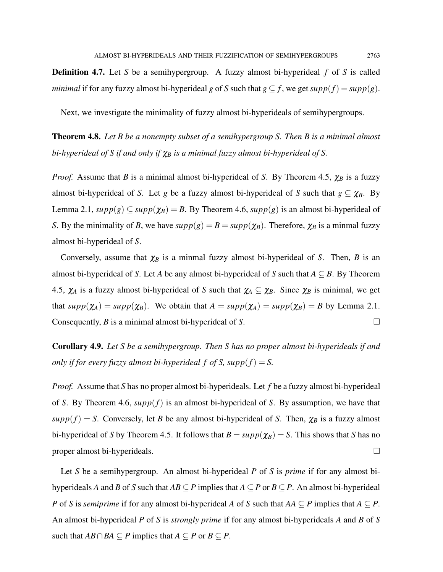Definition 4.7. Let *S* be a semihypergroup. A fuzzy almost bi-hyperideal *f* of *S* is called *minimal* if for any fuzzy almost bi-hyperideal *g* of *S* such that  $g \subseteq f$ , we get  $supp(f) = supp(g)$ .

Next, we investigate the minimality of fuzzy almost bi-hyperideals of semihypergroups.

Theorem 4.8. *Let B be a nonempty subset of a semihypergroup S. Then B is a minimal almost bi-hyperideal of S if and only if* χ*<sup>B</sup> is a minimal fuzzy almost bi-hyperideal of S.*

*Proof.* Assume that *B* is a minimal almost bi-hyperideal of *S*. By Theorem 4.5,  $\chi_B$  is a fuzzy almost bi-hyperideal of *S*. Let *g* be a fuzzy almost bi-hyperideal of *S* such that  $g \subseteq \chi_B$ . By Lemma 2.1,  $supp(g) \subseteq supp(\chi_B) = B$ . By Theorem 4.6,  $supp(g)$  is an almost bi-hyperideal of *S*. By the minimality of *B*, we have  $supp(g) = B = supp(\chi_B)$ . Therefore,  $\chi_B$  is a minmal fuzzy almost bi-hyperideal of *S*.

Conversely, assume that  $\chi_B$  is a minmal fuzzy almost bi-hyperideal of *S*. Then, *B* is an almost bi-hyperideal of *S*. Let *A* be any almost bi-hyperideal of *S* such that  $A \subseteq B$ . By Theorem 4.5,  $\chi_A$  is a fuzzy almost bi-hyperideal of *S* such that  $\chi_A \subseteq \chi_B$ . Since  $\chi_B$  is minimal, we get that  $supp(\chi_A) = supp(\chi_B)$ . We obtain that  $A = supp(\chi_A) = supp(\chi_B) = B$  by Lemma 2.1. Consequently, *B* is a minimal almost bi-hyperideal of *S*.

Corollary 4.9. *Let S be a semihypergroup. Then S has no proper almost bi-hyperideals if and only if for every fuzzy almost bi-hyperideal f of S, supp* $(f) = S$ .

*Proof.* Assume that *S* has no proper almost bi-hyperideals. Let *f* be a fuzzy almost bi-hyperideal of *S*. By Theorem 4.6, *supp*(*f*) is an almost bi-hyperideal of *S*. By assumption, we have that  $supp(f) = S$ . Conversely, let *B* be any almost bi-hyperideal of *S*. Then,  $\chi_B$  is a fuzzy almost bi-hyperideal of *S* by Theorem 4.5. It follows that  $B = \text{supp}(\chi_B) = S$ . This shows that *S* has no proper almost bi-hyperideals.

Let *S* be a semihypergroup. An almost bi-hyperideal *P* of *S* is *prime* if for any almost bihyperideals *A* and *B* of *S* such that  $AB \subseteq P$  implies that  $A \subseteq P$  or  $B \subseteq P$ . An almost bi-hyperideal *P* of *S* is *semiprime* if for any almost bi-hyperideal *A* of *S* such that  $AA \subseteq P$  implies that  $A \subseteq P$ . An almost bi-hyperideal *P* of *S* is *strongly prime* if for any almost bi-hyperideals *A* and *B* of *S* such that  $AB \cap BA ⊆ P$  implies that  $A ⊆ P$  or  $B ⊆ P$ .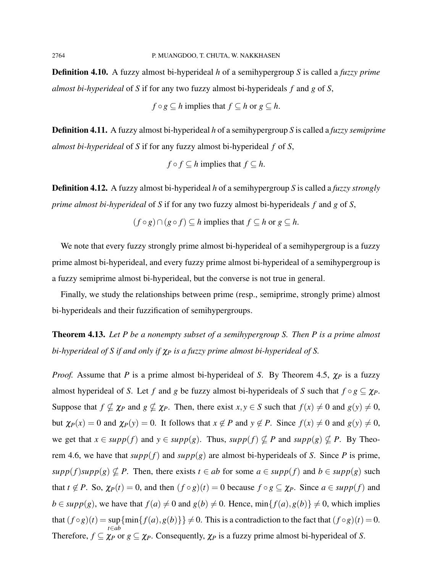Definition 4.10. A fuzzy almost bi-hyperideal *h* of a semihypergroup *S* is called a *fuzzy prime almost bi-hyperideal* of *S* if for any two fuzzy almost bi-hyperideals *f* and *g* of *S*,

$$
f \circ g \subseteq h
$$
 implies that  $f \subseteq h$  or  $g \subseteq h$ .

Definition 4.11. A fuzzy almost bi-hyperideal *h* of a semihypergroup *S* is called a *fuzzy semiprime almost bi-hyperideal* of *S* if for any fuzzy almost bi-hyperideal *f* of *S*,

$$
f \circ f \subseteq h
$$
 implies that  $f \subseteq h$ .

Definition 4.12. A fuzzy almost bi-hyperideal *h* of a semihypergroup *S* is called a *fuzzy strongly prime almost bi-hyperideal* of *S* if for any two fuzzy almost bi-hyperideals *f* and *g* of *S*,

$$
(f \circ g) \cap (g \circ f) \subseteq h
$$
 implies that  $f \subseteq h$  or  $g \subseteq h$ .

We note that every fuzzy strongly prime almost bi-hyperideal of a semihypergroup is a fuzzy prime almost bi-hyperideal, and every fuzzy prime almost bi-hyperideal of a semihypergroup is a fuzzy semiprime almost bi-hyperideal, but the converse is not true in general.

Finally, we study the relationships between prime (resp., semiprime, strongly prime) almost bi-hyperideals and their fuzzification of semihypergroups.

Theorem 4.13. *Let P be a nonempty subset of a semihypergroup S. Then P is a prime almost bi-hyperideal of S if and only if*  $χ$ *P is a fuzzy prime almost bi-hyperideal of S.* 

*Proof.* Assume that *P* is a prime almost bi-hyperideal of *S*. By Theorem 4.5, χ*<sup>P</sup>* is a fuzzy almost hyperideal of *S*. Let *f* and *g* be fuzzy almost bi-hyperideals of *S* such that  $f \circ g \subseteq \chi_P$ . Suppose that  $f \nsubseteq \chi_P$  and  $g \nsubseteq \chi_P$ . Then, there exist  $x, y \in S$  such that  $f(x) \neq 0$  and  $g(y) \neq 0$ , but  $\chi_P(x) = 0$  and  $\chi_P(y) = 0$ . It follows that  $x \notin P$  and  $y \notin P$ . Since  $f(x) \neq 0$  and  $g(y) \neq 0$ , we get that  $x \in supp(f)$  and  $y \in supp(g)$ . Thus,  $supp(f) \nsubseteq P$  and  $supp(g) \nsubseteq P$ . By Theorem 4.6, we have that  $supp(f)$  and  $supp(g)$  are almost bi-hyperideals of *S*. Since *P* is prime,  $supp(f) supp(g) \nsubseteq P$ . Then, there exists  $t \in ab$  for some  $a \in supp(f)$  and  $b \in supp(g)$  such that  $t \notin P$ . So,  $\chi_P(t) = 0$ , and then  $(f \circ g)(t) = 0$  because  $f \circ g \subseteq \chi_P$ . Since  $a \in supp(f)$  and *b* ∈ *supp*(*g*), we have that *f*(*a*)  $\neq$  0 and *g*(*b*)  $\neq$  0. Hence, min{*f*(*a*),*g*(*b*)}  $\neq$  0, which implies that  $(f \circ g)(t) = \sup \{ \min \{ f(a), g(b) \} \} \neq 0$ . This is a contradiction to the fact that  $(f \circ g)(t) = 0$ . *t*∈*ab* Therefore,  $f \subseteq \chi_P$  or  $g \subseteq \chi_P$ . Consequently,  $\chi_P$  is a fuzzy prime almost bi-hyperideal of *S*.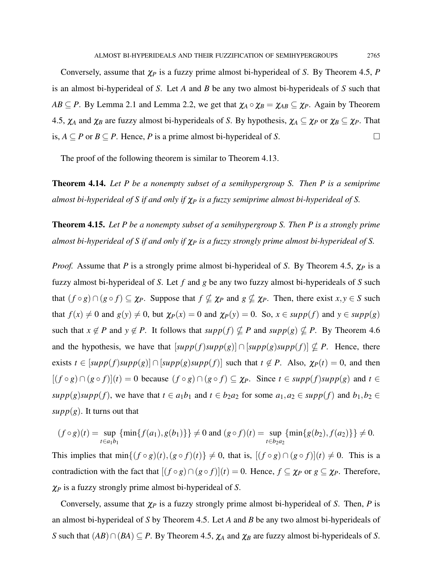Conversely, assume that χ*<sup>P</sup>* is a fuzzy prime almost bi-hyperideal of *S*. By Theorem 4.5, *P* is an almost bi-hyperideal of *S*. Let *A* and *B* be any two almost bi-hyperideals of *S* such that *AB*  $\subseteq$  *P*. By Lemma 2.1 and Lemma 2.2, we get that  $\chi_A \circ \chi_B = \chi_{AB} \subseteq \chi_P$ . Again by Theorem 4.5,  $\chi_A$  and  $\chi_B$  are fuzzy almost bi-hyperideals of *S*. By hypothesis,  $\chi_A \subseteq \chi_P$  or  $\chi_B \subseteq \chi_P$ . That is,  $A ⊆ P$  or  $B ⊆ P$ . Hence,  $P$  is a prime almost bi-hyperideal of *S*.  $□$ 

The proof of the following theorem is similar to Theorem 4.13.

Theorem 4.14. *Let P be a nonempty subset of a semihypergroup S. Then P is a semiprime almost bi-hyperideal of S if and only if* χ*<sup>P</sup> is a fuzzy semiprime almost bi-hyperideal of S.*

Theorem 4.15. *Let P be a nonempty subset of a semihypergroup S. Then P is a strongly prime almost bi-hyperideal of S if and only if* χ*<sup>P</sup> is a fuzzy strongly prime almost bi-hyperideal of S.*

*Proof.* Assume that *P* is a strongly prime almost bi-hyperideal of *S*. By Theorem 4.5, χ*<sup>P</sup>* is a fuzzy almost bi-hyperideal of *S*. Let *f* and *g* be any two fuzzy almost bi-hyperideals of *S* such that  $(f \circ g) \cap (g \circ f) \subseteq \chi_P$ . Suppose that  $f \nsubseteq \chi_P$  and  $g \nsubseteq \chi_P$ . Then, there exist  $x, y \in S$  such that  $f(x) \neq 0$  and  $g(y) \neq 0$ , but  $\chi_P(x) = 0$  and  $\chi_P(y) = 0$ . So,  $x \in \text{supp}(f)$  and  $y \in \text{supp}(g)$ such that  $x \notin P$  and  $y \notin P$ . It follows that  $supp(f) \nsubseteq P$  and  $supp(g) \nsubseteq P$ . By Theorem 4.6 and the hypothesis, we have that  $[supp(f)supp(g)] \cap [supp(g)supp(f)] \nsubseteq P$ . Hence, there exists  $t \in [supp(f)supp(g)] \cap [supp(g)supp(f)]$  such that  $t \notin P$ . Also,  $\chi_P(t) = 0$ , and then  $[(f \circ g) \cap (g \circ f)](t) = 0$  because  $(f \circ g) \cap (g \circ f) \subseteq \chi_P$ . Since  $t \in \text{supp}(f) \text{supp}(g)$  and  $t \in$ *supp*(*g*)*supp*(*f*), we have that  $t \in a_1b_1$  and  $t \in b_2a_2$  for some  $a_1, a_2 \in supp(f)$  and  $b_1, b_2 \in$  $supp(g)$ . It turns out that

$$
(f \circ g)(t) = \sup_{t \in a_1 b_1} \{ \min\{f(a_1), g(b_1)\} \} \neq 0 \text{ and } (g \circ f)(t) = \sup_{t \in b_2 a_2} \{ \min\{g(b_2), f(a_2)\} \} \neq 0.
$$

This implies that  $\min\{(f \circ g)(t), (g \circ f)(t)\}\neq 0$ , that is,  $[(f \circ g) \cap (g \circ f)](t) \neq 0$ . This is a contradiction with the fact that  $[(f \circ g) \cap (g \circ f)](t) = 0$ . Hence,  $f \subseteq \chi_P$  or  $g \subseteq \chi_P$ . Therefore, χ*<sup>P</sup>* is a fuzzy strongly prime almost bi-hyperideal of *S*.

Conversely, assume that χ*<sup>P</sup>* is a fuzzy strongly prime almost bi-hyperideal of *S*. Then, *P* is an almost bi-hyperideal of *S* by Theorem 4.5. Let *A* and *B* be any two almost bi-hyperideals of *S* such that  $(AB) \cap (BA) \subseteq P$ . By Theorem 4.5,  $\chi_A$  and  $\chi_B$  are fuzzy almost bi-hyperideals of *S*.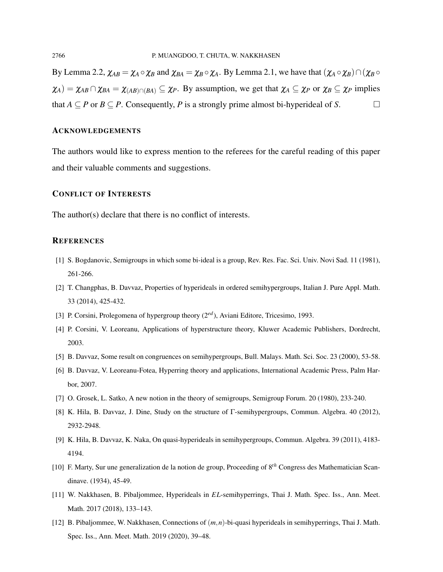By Lemma 2.2,  $\chi_{AB} = \chi_A \circ \chi_B$  and  $\chi_{BA} = \chi_B \circ \chi_A$ . By Lemma 2.1, we have that  $(\chi_A \circ \chi_B) \cap (\chi_B \circ \chi_B)$  $\chi_A$ ) =  $\chi_{AB} \cap \chi_{BA} = \chi_{(AB) \cap (BA)} \subseteq \chi_P$ . By assumption, we get that  $\chi_A \subseteq \chi_P$  or  $\chi_B \subseteq \chi_P$  implies that *A* ⊂ *P* or *B* ⊆ *P*. Consequently, *P* is a strongly prime almost bi-hyperideal of *S*. □

## ACKNOWLEDGEMENTS

The authors would like to express mention to the referees for the careful reading of this paper and their valuable comments and suggestions.

#### CONFLICT OF INTERESTS

The author(s) declare that there is no conflict of interests.

#### **REFERENCES**

- [1] S. Bogdanovic, Semigroups in which some bi-ideal is a group, Rev. Res. Fac. Sci. Univ. Novi Sad. 11 (1981), 261-266.
- [2] T. Changphas, B. Davvaz, Properties of hyperideals in ordered semihypergroups, Italian J. Pure Appl. Math. 33 (2014), 425-432.
- [3] P. Corsini, Prolegomena of hypergroup theory (2*ed*), Aviani Editore, Tricesimo, 1993.
- [4] P. Corsini, V. Leoreanu, Applications of hyperstructure theory, Kluwer Academic Publishers, Dordrecht, 2003.
- [5] B. Davvaz, Some result on congruences on semihypergroups, Bull. Malays. Math. Sci. Soc. 23 (2000), 53-58.
- [6] B. Davvaz, V. Leoreanu-Fotea, Hyperring theory and applications, International Academic Press, Palm Harbor, 2007.
- [7] O. Grosek, L. Satko, A new notion in the theory of semigroups, Semigroup Forum. 20 (1980), 233-240.
- [8] K. Hila, B. Davvaz, J. Dine, Study on the structure of Γ-semihypergroups, Commun. Algebra. 40 (2012), 2932-2948.
- [9] K. Hila, B. Davvaz, K. Naka, On quasi-hyperideals in semihypergroups, Commun. Algebra. 39 (2011), 4183- 4194.
- [10] F. Marty, Sur une generalization de la notion de group, Proceeding of 8*th* Congress des Mathematician Scandinave. (1934), 45-49.
- [11] W. Nakkhasen, B. Pibaljommee, Hyperideals in *EL*-semihyperrings, Thai J. Math. Spec. Iss., Ann. Meet. Math. 2017 (2018), 133–143.
- [12] B. Pibaljommee, W. Nakkhasen, Connections of (*m*,*n*)-bi-quasi hyperideals in semihyperrings, Thai J. Math. Spec. Iss., Ann. Meet. Math. 2019 (2020), 39–48.